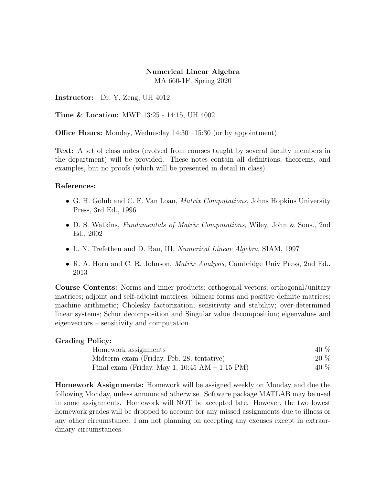## Numerical Linear Algebra MA 660-1F, Spring 2020

Instructor: Dr. Y. Zeng, UH 4012

Time & Location: MWF 13:25 - 14:15, UH 4002

Office Hours: Monday, Wednesday 14:30 –15:30 (or by appointment)

Text: A set of class notes (evolved from courses taught by several faculty members in the department) will be provided. These notes contain all definitions, theorems, and examples, but no proofs (which will be presented in detail in class).

## References:

- G. H. Golub and C. F. Van Loan, *Matrix Computations*, Johns Hopkins University Press, 3rd Ed., 1996
- D. S. Watkins, *Fundamentals of Matrix Computations*, Wiley, John & Sons., 2nd Ed., 2002
- L. N. Trefethen and D. Bau, III, *Numerical Linear Algebra*, SIAM, 1997
- R. A. Horn and C. R. Johnson, Matrix Analysis, Cambridge Univ Press, 2nd Ed., 2013

Course Contents: Norms and inner products; orthogonal vectors; orthogonal/unitary matrices; adjoint and self-adjoint matrices; bilinear forms and positive definite matrices; machine arithmetic; Cholesky factorization; sensitivity and stability; over-determined linear systems; Schur decomposition and Singular value decomposition; eigenvalues and eigenvectors – sensitivity and computation.

## Grading Policy:

| Homework assignments                              | 40 %   |
|---------------------------------------------------|--------|
| Midterm exam (Friday, Feb. 28, tentative)         | $20\%$ |
| Final exam (Friday, May 1, $10:45$ AM $-1:15$ PM) | 40 %   |

Homework Assignments: Homework will be assigned weekly on Monday and due the following Monday, unless announced otherwise. Software package MATLAB may be used in some assignments. Homework will NOT be accepted late. However, the two lowest homework grades will be dropped to account for any missed assignments due to illness or any other circumstance. I am not planning on accepting any excuses except in extraordinary circumstances.